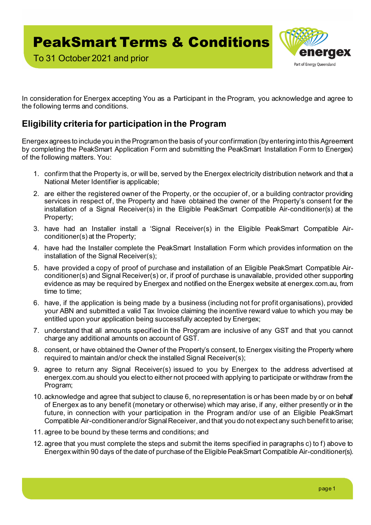To 31 October 2021 and prior



In consideration for Energex accepting You as a Participant in the Program, you acknowledge and agree to the following terms and conditions.

## **Eligibility criteria for participation in the Program**

Energex agrees to include you in the Program on the basis of your confirmation (by entering into this Agreement by completing the PeakSmart Application Form and submitting the PeakSmart Installation Form to Energex) of the following matters. You:

- 1. confirm that the Property is, or will be, served by the Energex electricity distribution network and that a National Meter Identifier is applicable;
- 2. are either the registered owner of the Property, or the occupier of, or a building contractor providing services in respect of, the Property and have obtained the owner of the Property's consent for the installation of a Signal Receiver(s) in the Eligible PeakSmart Compatible Air-conditioner(s) at the Property;
- 3. have had an Installer install a 'Signal Receiver(s) in the Eligible PeakSmart Compatible Airconditioner(s) at the Property;
- 4. have had the Installer complete the PeakSmart Installation Form which provides information on the installation of the Signal Receiver(s);
- 5. have provided a copy of proof of purchase and installation of an Eligible PeakSmart Compatible Airconditioner(s) and Signal Receiver(s) or, if proof of purchase is unavailable, provided other supporting evidence as may be required by Energex and notified on the Energex website at energex.com.au, from time to time;
- 6. have, if the application is being made by a business (including not for profit organisations), provided your ABN and submitted a valid Tax Invoice claiming the incentive reward value to which you may be entitled upon your application being successfully accepted by Energex;
- 7. understand that all amounts specified in the Program are inclusive of any GST and that you cannot charge any additional amounts on account of GST.
- 8. consent, or have obtained the Owner of the Property's consent, to Energex visiting the Property where required to maintain and/or check the installed Signal Receiver(s);
- 9. agree to return any Signal Receiver(s) issued to you by Energex to the address advertised at energex.com.au should you elect to either not proceed with applying to participate or withdraw from the Program;
- 10. acknowledge and agree that subject to clause 6, no representation is or has been made by or on behalf of Energex as to any benefit (monetary or otherwise) which may arise, if any, either presently or in the future, in connection with your participation in the Program and/or use of an Eligible PeakSmart Compatible Air-conditioner and/or Signal Receiver, and that you do not expect any such benefit to arise;
- 11. agree to be bound by these terms and conditions; and
- 12. agree that you must complete the steps and submit the items specified in paragraphs c) to f) above to Energex within 90 days of the date of purchase of the Eligible PeakSmart Compatible Air-conditioner(s).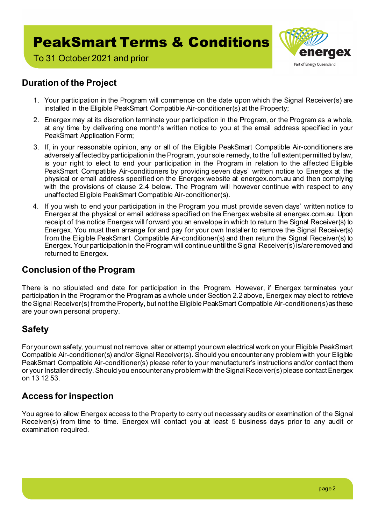

To 31 October 2021 and prior

### **Duration of the Project**

- 1. Your participation in the Program will commence on the date upon which the Signal Receiver(s) are installed in the Eligible PeakSmart Compatible Air-conditioner(s) at the Property;
- 2. Energex may at its discretion terminate your participation in the Program, or the Program as a whole, at any time by delivering one month's written notice to you at the email address specified in your PeakSmart Application Form;
- 3. If, in your reasonable opinion, any or all of the Eligible PeakSmart Compatible Air-conditioners are adversely affected by participation in the Program, your sole remedy, to the full extent permitted by law, is your right to elect to end your participation in the Program in relation to the affected Eligible PeakSmart Compatible Air-conditioners by providing seven days' written notice to Energex at the physical or email address specified on the Energex website at energex.com.au and then complying with the provisions of clause 2.4 below. The Program will however continue with respect to any unaffected Eligible PeakSmart Compatible Air-conditioner(s).
- 4. If you wish to end your participation in the Program you must provide seven days' written notice to Energex at the physical or email address specified on the Energex website at energex.com.au. Upon receipt of the notice Energex will forward you an envelope in which to return the Signal Receiver(s) to Energex. You must then arrange for and pay for your own Installer to remove the Signal Receiver(s) from the Eligible PeakSmart Compatible Air-conditioner(s) and then return the Signal Receiver(s) to Energex. Your participation in the Program will continue until the Signal Receiver(s) is/are removed and returned to Energex.

#### **Conclusion of the Program**

There is no stipulated end date for participation in the Program. However, if Energex terminates your participation in the Program or the Program as a whole under Section 2.2 above, Energex may elect to retrieve the Signal Receiver(s) fromthe Property, but not the Eligible PeakSmart Compatible Air-conditioner(s) as these are your own personal property.

### **Safety**

For your own safety, you must not remove, alter or attempt your own electrical work on your Eligible PeakSmart Compatible Air-conditioner(s) and/or Signal Receiver(s). Should you encounter any problem with your Eligible PeakSmart Compatible Air-conditioner(s) please refer to your manufacturer's instructions and/or contact them or your Installer directly. Should you encounter any problem with the Signal Receiver(s) please contact Energex on 13 12 53.

#### **Access for inspection**

You agree to allow Energex access to the Property to carry out necessary audits or examination of the Signal Receiver(s) from time to time. Energex will contact you at least 5 business days prior to any audit or examination required.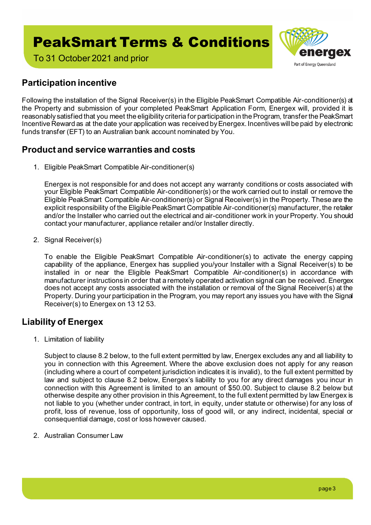

To 31 October 2021 and prior

## **Participation incentive**

Following the installation of the Signal Receiver(s) in the Eligible PeakSmart Compatible Air-conditioner(s) at the Property and submission of your completed PeakSmart Application Form, Energex will, provided it is reasonably satisfied that you meet the eligibility criteria for participation in the Program, transfer the PeakSmart Incentive Reward as at the date your application was received by Energex. Incentives will be paid by electronic funds transfer (EFT) to an Australian bank account nominated by You.

### **Product and service warranties and costs**

1. Eligible PeakSmart Compatible Air-conditioner(s)

Energex is not responsible for and does not accept any warranty conditions or costs associated with your Eligible PeakSmart Compatible Air-conditioner(s) or the work carried out to install or remove the Eligible PeakSmart Compatible Air-conditioner(s) or Signal Receiver(s) in the Property. These are the explicit responsibility of the Eligible PeakSmart Compatible Air-conditioner(s) manufacturer, the retailer and/or the Installer who carried out the electrical and air-conditioner work in your Property. You should contact your manufacturer, appliance retailer and/or Installer directly.

2. Signal Receiver(s)

To enable the Eligible PeakSmart Compatible Air-conditioner(s) to activate the energy capping capability of the appliance, Energex has supplied you/your Installer with a Signal Receiver(s) to be installed in or near the Eligible PeakSmart Compatible Air-conditioner(s) in accordance with manufacturer instructions in order that a remotely operated activation signal can be received. Energex does not accept any costs associated with the installation or removal of the Signal Receiver(s) at the Property. During your participation in the Program, you may report any issues you have with the Signal Receiver(s) to Energex on 13 12 53.

### **Liability of Energex**

1. Limitation of liability

Subject to clause 8.2 below, to the full extent permitted by law, Energex excludes any and all liability to you in connection with this Agreement. Where the above exclusion does not apply for any reason (including where a court of competent jurisdiction indicates it is invalid), to the full extent permitted by law and subject to clause 8.2 below, Energex's liability to you for any direct damages you incur in connection with this Agreement is limited to an amount of \$50.00. Subject to clause 8.2 below but otherwise despite any other provision in this Agreement, to the full extent permitted by law Energex is not liable to you (whether under contract, in tort, in equity, under statute or otherwise) for any loss of profit, loss of revenue, loss of opportunity, loss of good will, or any indirect, incidental, special or consequential damage, cost or loss however caused.

2. Australian Consumer Law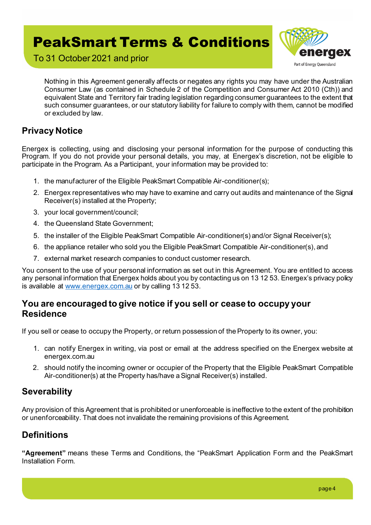

To 31 October 2021 and prior

Nothing in this Agreement generally affects or negates any rights you may have under the Australian Consumer Law (as contained in Schedule 2 of the Competition and Consumer Act 2010 (Cth)) and equivalent State and Territory fair trading legislation regarding consumer guarantees to the extent that such consumer guarantees, or our statutory liability for failure to comply with them, cannot be modified or excluded by law.

### **Privacy Notice**

Energex is collecting, using and disclosing your personal information for the purpose of conducting this Program. If you do not provide your personal details, you may, at Energex's discretion, not be eligible to participate in the Program. As a Participant, your information may be provided to:

- 1. the manufacturer of the Eligible PeakSmart Compatible Air-conditioner(s);
- 2. Energex representatives who may have to examine and carry out audits and maintenance of the Signal Receiver(s) installed at the Property;
- 3. your local government/council;
- 4. the Queensland State Government;
- 5. the installer of the Eligible PeakSmart Compatible Air-conditioner(s) and/or Signal Receiver(s);
- 6. the appliance retailer who sold you the Eligible PeakSmart Compatible Air-conditioner(s), and
- 7. external market research companies to conduct customer research.

You consent to the use of your personal information as set out in this Agreement. You are entitled to access any personal information that Energex holds about you by contacting us on 13 12 53. Energex's privacy policy is available at [www.energex.com.au](https://www.energex.com.au/) or by calling 13 12 53.

#### **You are encouraged to give notice if you sell or cease to occupy your Residence**

If you sell or cease to occupy the Property, or return possession of the Property to its owner, you:

- 1. can notify Energex in writing, via post or email at the address specified on the Energex website at energex.com.au
- 2. should notify the incoming owner or occupier of the Property that the Eligible PeakSmart Compatible Air-conditioner(s) at the Property has/have a Signal Receiver(s) installed.

### **Severability**

Any provision of this Agreement that is prohibited or unenforceable is ineffective to the extent of the prohibition or unenforceability. That does not invalidate the remaining provisions of this Agreement.

## **Definitions**

**"Agreement"** means these Terms and Conditions, the "PeakSmart Application Form and the PeakSmart Installation Form.